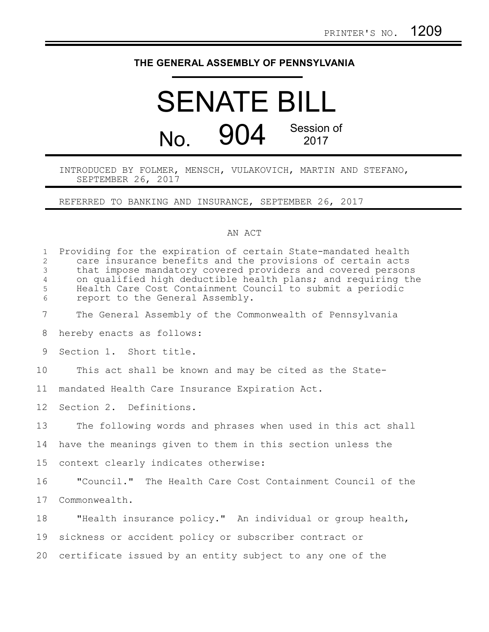## **THE GENERAL ASSEMBLY OF PENNSYLVANIA**

## SENATE BILL No. 904 Session of 2017

INTRODUCED BY FOLMER, MENSCH, VULAKOVICH, MARTIN AND STEFANO, SEPTEMBER 26, 2017

REFERRED TO BANKING AND INSURANCE, SEPTEMBER 26, 2017

## AN ACT

| $\mathbf{1}$<br>$\overline{2}$<br>3<br>$\overline{4}$<br>5<br>6 | Providing for the expiration of certain State-mandated health<br>care insurance benefits and the provisions of certain acts<br>that impose mandatory covered providers and covered persons<br>on qualified high deductible health plans; and requiring the<br>Health Care Cost Containment Council to submit a periodic<br>report to the General Assembly. |
|-----------------------------------------------------------------|------------------------------------------------------------------------------------------------------------------------------------------------------------------------------------------------------------------------------------------------------------------------------------------------------------------------------------------------------------|
| $7\overline{ }$                                                 | The General Assembly of the Commonwealth of Pennsylvania                                                                                                                                                                                                                                                                                                   |
| 8                                                               | hereby enacts as follows:                                                                                                                                                                                                                                                                                                                                  |
| 9                                                               | Section 1. Short title.                                                                                                                                                                                                                                                                                                                                    |
| 10                                                              | This act shall be known and may be cited as the State-                                                                                                                                                                                                                                                                                                     |
| 11                                                              | mandated Health Care Insurance Expiration Act.                                                                                                                                                                                                                                                                                                             |
| 12 <sup>°</sup>                                                 | Section 2. Definitions.                                                                                                                                                                                                                                                                                                                                    |
| 13                                                              | The following words and phrases when used in this act shall                                                                                                                                                                                                                                                                                                |
| 14                                                              | have the meanings given to them in this section unless the                                                                                                                                                                                                                                                                                                 |
| 15                                                              | context clearly indicates otherwise:                                                                                                                                                                                                                                                                                                                       |
| 16                                                              | "Council." The Health Care Cost Containment Council of the                                                                                                                                                                                                                                                                                                 |
| 17                                                              | Commonwealth.                                                                                                                                                                                                                                                                                                                                              |
| 18                                                              | "Health insurance policy." An individual or group health,                                                                                                                                                                                                                                                                                                  |
| 19                                                              | sickness or accident policy or subscriber contract or                                                                                                                                                                                                                                                                                                      |
| 20                                                              | certificate issued by an entity subject to any one of the                                                                                                                                                                                                                                                                                                  |
|                                                                 |                                                                                                                                                                                                                                                                                                                                                            |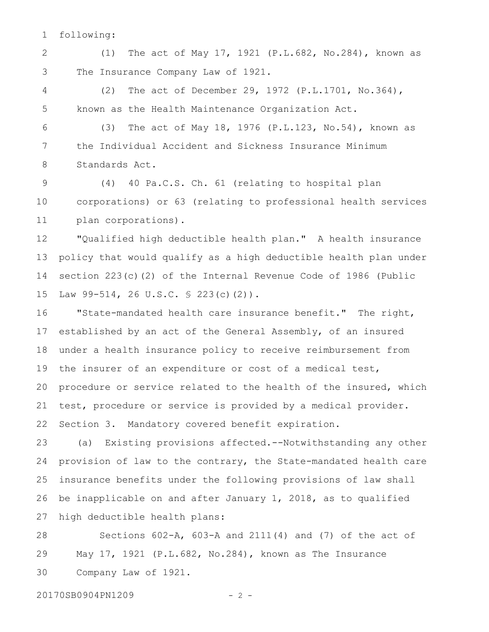following: 1

(1) The act of May 17, 1921 (P.L.682, No.284), known as The Insurance Company Law of 1921. 2 3

(2) The act of December 29, 1972 (P.L.1701, No.364), known as the Health Maintenance Organization Act. 4 5

(3) The act of May 18, 1976 (P.L.123, No.54), known as the Individual Accident and Sickness Insurance Minimum Standards Act. 6 7 8

(4) 40 Pa.C.S. Ch. 61 (relating to hospital plan corporations) or 63 (relating to professional health services plan corporations). 9 10 11

"Qualified high deductible health plan." A health insurance policy that would qualify as a high deductible health plan under section 223(c)(2) of the Internal Revenue Code of 1986 (Public Law 99-514, 26 U.S.C. § 223(c)(2)). 12 13 14 15

"State-mandated health care insurance benefit." The right, established by an act of the General Assembly, of an insured under a health insurance policy to receive reimbursement from the insurer of an expenditure or cost of a medical test, procedure or service related to the health of the insured, which test, procedure or service is provided by a medical provider. Section 3. Mandatory covered benefit expiration. 16 17 18 19 20 21 22

(a) Existing provisions affected.--Notwithstanding any other provision of law to the contrary, the State-mandated health care insurance benefits under the following provisions of law shall be inapplicable on and after January 1, 2018, as to qualified high deductible health plans: 23 24 25 26 27

Sections 602-A, 603-A and 2111(4) and (7) of the act of May 17, 1921 (P.L.682, No.284), known as The Insurance Company Law of 1921. 28 29 30

20170SB0904PN1209 - 2 -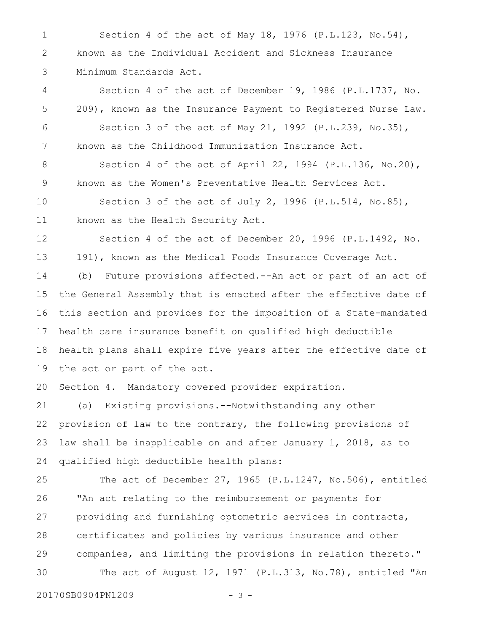Section 4 of the act of May 18, 1976 (P.L.123, No.54), known as the Individual Accident and Sickness Insurance Minimum Standards Act. 1 2 3

Section 4 of the act of December 19, 1986 (P.L.1737, No. 209), known as the Insurance Payment to Registered Nurse Law. Section 3 of the act of May 21, 1992 (P.L.239, No.35), known as the Childhood Immunization Insurance Act. 4 5 6 7

Section 4 of the act of April 22, 1994 (P.L.136, No.20), known as the Women's Preventative Health Services Act. 8 9

Section 3 of the act of July 2, 1996 (P.L.514, No.85), known as the Health Security Act. 10 11

Section 4 of the act of December 20, 1996 (P.L.1492, No. 191), known as the Medical Foods Insurance Coverage Act. 12 13

(b) Future provisions affected.--An act or part of an act of the General Assembly that is enacted after the effective date of this section and provides for the imposition of a State-mandated health care insurance benefit on qualified high deductible health plans shall expire five years after the effective date of the act or part of the act. 14 15 16 17 18 19

Section 4. Mandatory covered provider expiration. 20

(a) Existing provisions.--Notwithstanding any other provision of law to the contrary, the following provisions of law shall be inapplicable on and after January 1, 2018, as to qualified high deductible health plans: 21 22 23 24

The act of December 27, 1965 (P.L.1247, No.506), entitled "An act relating to the reimbursement or payments for providing and furnishing optometric services in contracts, certificates and policies by various insurance and other companies, and limiting the provisions in relation thereto." The act of August 12, 1971 (P.L.313, No.78), entitled "An 25 26 27 28 29 30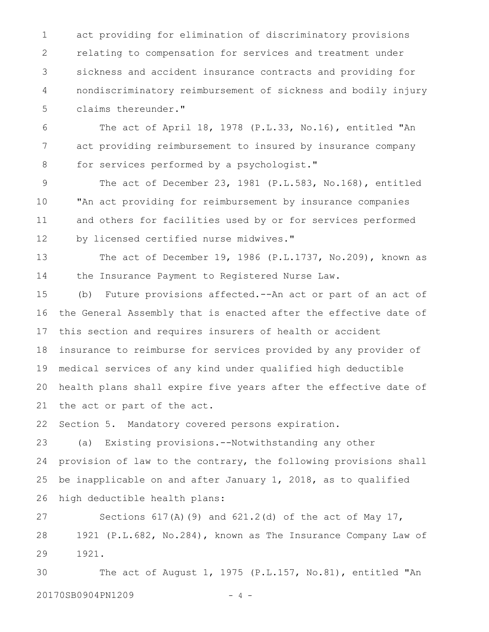act providing for elimination of discriminatory provisions relating to compensation for services and treatment under sickness and accident insurance contracts and providing for nondiscriminatory reimbursement of sickness and bodily injury claims thereunder." 1 2 3 4 5

The act of April 18, 1978 (P.L.33, No.16), entitled "An act providing reimbursement to insured by insurance company for services performed by a psychologist." 6 7 8

The act of December 23, 1981 (P.L.583, No.168), entitled "An act providing for reimbursement by insurance companies and others for facilities used by or for services performed by licensed certified nurse midwives." 9 10 11 12

The act of December 19, 1986 (P.L.1737, No.209), known as the Insurance Payment to Registered Nurse Law. 13 14

(b) Future provisions affected.--An act or part of an act of the General Assembly that is enacted after the effective date of this section and requires insurers of health or accident insurance to reimburse for services provided by any provider of medical services of any kind under qualified high deductible health plans shall expire five years after the effective date of the act or part of the act. 15 16 17 18 19 20 21

Section 5. Mandatory covered persons expiration. 22

(a) Existing provisions.--Notwithstanding any other provision of law to the contrary, the following provisions shall be inapplicable on and after January 1, 2018, as to qualified high deductible health plans: 23 24 25 26

Sections  $617(A)(9)$  and  $621.2(d)$  of the act of May 17, 1921 (P.L.682, No.284), known as The Insurance Company Law of 1921. 27 28 29

The act of August 1, 1975 (P.L.157, No.81), entitled "An 20170SB0904PN1209 - 4 -30